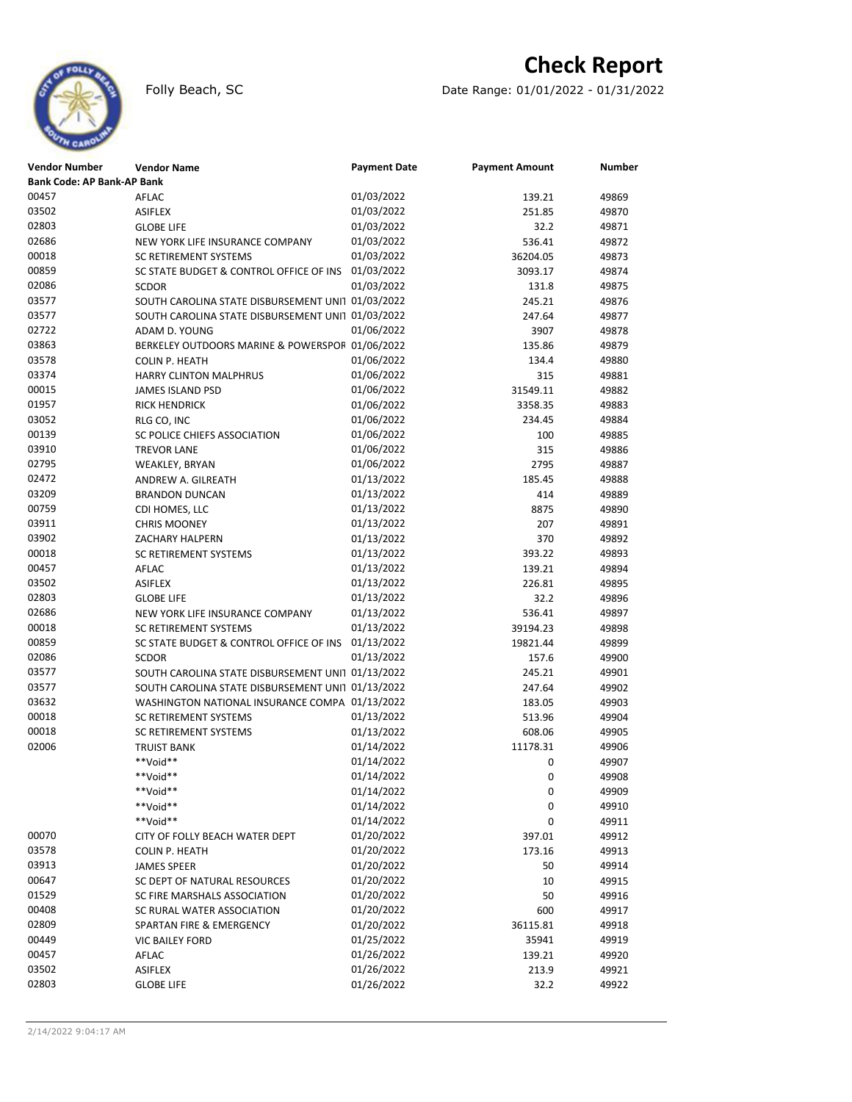

# **Check Report**

Folly Beach, SC Date Range: 01/01/2022 - 01/31/2022

| <b>Vendor Number</b>              | <b>Vendor Name</b>                                         | <b>Payment Date</b>      | <b>Payment Amount</b> | <b>Number</b>  |
|-----------------------------------|------------------------------------------------------------|--------------------------|-----------------------|----------------|
| <b>Bank Code: AP Bank-AP Bank</b> |                                                            |                          |                       |                |
| 00457                             | AFLAC                                                      | 01/03/2022               | 139.21                | 49869          |
| 03502                             | <b>ASIFLEX</b>                                             | 01/03/2022               | 251.85                | 49870          |
| 02803                             | <b>GLOBE LIFE</b>                                          | 01/03/2022               | 32.2                  | 49871          |
| 02686                             | NEW YORK LIFE INSURANCE COMPANY                            | 01/03/2022               | 536.41                | 49872          |
| 00018                             | <b>SC RETIREMENT SYSTEMS</b>                               | 01/03/2022               | 36204.05              | 49873          |
| 00859                             | SC STATE BUDGET & CONTROL OFFICE OF INS                    | 01/03/2022               | 3093.17               | 49874          |
| 02086                             | <b>SCDOR</b>                                               | 01/03/2022               | 131.8                 | 49875          |
| 03577                             | SOUTH CAROLINA STATE DISBURSEMENT UNI1 01/03/2022          |                          | 245.21                | 49876          |
| 03577                             | SOUTH CAROLINA STATE DISBURSEMENT UNI1 01/03/2022          |                          | 247.64                | 49877          |
| 02722                             | ADAM D. YOUNG                                              | 01/06/2022               | 3907                  | 49878          |
| 03863                             | BERKELEY OUTDOORS MARINE & POWERSPOF 01/06/2022            |                          | 135.86                | 49879          |
| 03578                             | <b>COLIN P. HEATH</b>                                      | 01/06/2022               | 134.4                 | 49880          |
| 03374                             | <b>HARRY CLINTON MALPHRUS</b>                              | 01/06/2022               | 315                   | 49881          |
| 00015                             | <b>JAMES ISLAND PSD</b>                                    | 01/06/2022               | 31549.11              | 49882          |
| 01957                             | <b>RICK HENDRICK</b>                                       | 01/06/2022               | 3358.35               | 49883          |
| 03052                             | RLG CO, INC                                                | 01/06/2022               | 234.45                | 49884          |
| 00139                             | SC POLICE CHIEFS ASSOCIATION                               | 01/06/2022               | 100                   | 49885          |
| 03910                             | <b>TREVOR LANE</b>                                         | 01/06/2022               | 315                   | 49886          |
| 02795                             | WEAKLEY, BRYAN                                             | 01/06/2022               | 2795                  | 49887          |
| 02472                             | ANDREW A. GILREATH                                         | 01/13/2022               | 185.45                | 49888          |
| 03209                             | <b>BRANDON DUNCAN</b>                                      | 01/13/2022               | 414                   | 49889          |
| 00759                             | CDI HOMES, LLC                                             | 01/13/2022               | 8875                  | 49890          |
| 03911                             | <b>CHRIS MOONEY</b>                                        | 01/13/2022               | 207                   | 49891          |
| 03902                             | ZACHARY HALPERN                                            | 01/13/2022               | 370                   | 49892          |
| 00018                             | SC RETIREMENT SYSTEMS                                      | 01/13/2022               | 393.22                | 49893          |
| 00457                             | AFLAC                                                      | 01/13/2022               | 139.21                | 49894          |
| 03502                             | <b>ASIFLEX</b>                                             | 01/13/2022               | 226.81                | 49895          |
| 02803                             | <b>GLOBE LIFE</b>                                          | 01/13/2022               | 32.2                  | 49896          |
| 02686                             | NEW YORK LIFE INSURANCE COMPANY                            | 01/13/2022               | 536.41                | 49897          |
| 00018                             | SC RETIREMENT SYSTEMS                                      | 01/13/2022               | 39194.23              | 49898          |
| 00859                             | SC STATE BUDGET & CONTROL OFFICE OF INS                    | 01/13/2022               | 19821.44              | 49899          |
| 02086                             | <b>SCDOR</b>                                               | 01/13/2022               | 157.6                 | 49900          |
| 03577                             | SOUTH CAROLINA STATE DISBURSEMENT UNI1 01/13/2022          |                          | 245.21                | 49901          |
| 03577                             | SOUTH CAROLINA STATE DISBURSEMENT UNI1 01/13/2022          |                          | 247.64                | 49902          |
| 03632                             | WASHINGTON NATIONAL INSURANCE COMPA 01/13/2022             |                          | 183.05                | 49903          |
| 00018                             | SC RETIREMENT SYSTEMS                                      | 01/13/2022               | 513.96                | 49904          |
| 00018                             | <b>SC RETIREMENT SYSTEMS</b>                               | 01/13/2022               | 608.06                | 49905          |
| 02006                             | <b>TRUIST BANK</b>                                         | 01/14/2022               | 11178.31              | 49906          |
|                                   | **Void**                                                   | 01/14/2022               | 0                     | 49907          |
|                                   | **Void**                                                   | 01/14/2022               | 0                     | 49908          |
|                                   | **Void**                                                   | 01/14/2022               | 0                     | 49909          |
|                                   | **Void**                                                   | 01/14/2022               | 0                     | 49910          |
|                                   | **Void**                                                   | 01/14/2022               | 0                     | 49911          |
| 00070                             | CITY OF FOLLY BEACH WATER DEPT                             | 01/20/2022               | 397.01                | 49912          |
| 03578                             | COLIN P. HEATH                                             | 01/20/2022               | 173.16                | 49913          |
| 03913                             | <b>JAMES SPEER</b>                                         | 01/20/2022<br>01/20/2022 | 50                    | 49914          |
| 00647<br>01529                    | SC DEPT OF NATURAL RESOURCES                               | 01/20/2022               | 10<br>50              | 49915<br>49916 |
| 00408                             | SC FIRE MARSHALS ASSOCIATION<br>SC RURAL WATER ASSOCIATION | 01/20/2022               | 600                   | 49917          |
| 02809                             | SPARTAN FIRE & EMERGENCY                                   | 01/20/2022               | 36115.81              | 49918          |
| 00449                             | <b>VIC BAILEY FORD</b>                                     | 01/25/2022               | 35941                 | 49919          |
| 00457                             | AFLAC                                                      | 01/26/2022               | 139.21                | 49920          |
| 03502                             | ASIFLEX                                                    | 01/26/2022               | 213.9                 | 49921          |
| 02803                             | <b>GLOBE LIFE</b>                                          | 01/26/2022               | 32.2                  | 49922          |
|                                   |                                                            |                          |                       |                |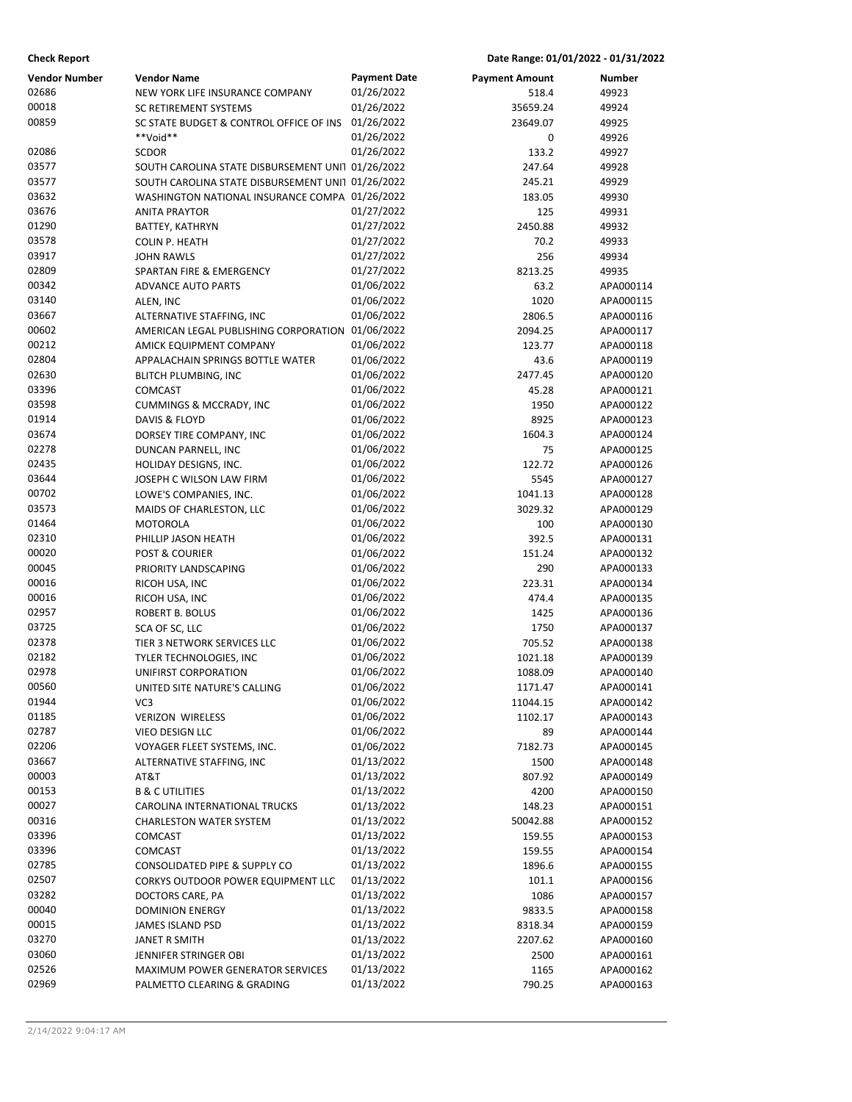| <b>Vendor Number</b> | <b>Vendor Name</b>                                          | <b>Payment Date</b>      | <b>Payment Amount</b> | Number                 |
|----------------------|-------------------------------------------------------------|--------------------------|-----------------------|------------------------|
| 02686                | NEW YORK LIFE INSURANCE COMPANY                             | 01/26/2022               | 518.4                 | 49923                  |
| 00018                | <b>SC RETIREMENT SYSTEMS</b>                                | 01/26/2022               | 35659.24              | 49924                  |
| 00859                | SC STATE BUDGET & CONTROL OFFICE OF INS                     | 01/26/2022               | 23649.07              | 49925                  |
|                      | **Void**                                                    | 01/26/2022               | 0                     | 49926                  |
| 02086                | <b>SCDOR</b>                                                | 01/26/2022               | 133.2                 | 49927                  |
| 03577                | SOUTH CAROLINA STATE DISBURSEMENT UNI1 01/26/2022           |                          | 247.64                | 49928                  |
| 03577                | SOUTH CAROLINA STATE DISBURSEMENT UNI1 01/26/2022           |                          | 245.21                | 49929                  |
| 03632                | WASHINGTON NATIONAL INSURANCE COMPA 01/26/2022              |                          | 183.05                | 49930                  |
| 03676                | <b>ANITA PRAYTOR</b>                                        | 01/27/2022               | 125                   | 49931                  |
| 01290                | BATTEY, KATHRYN                                             | 01/27/2022               | 2450.88               | 49932                  |
| 03578                | COLIN P. HEATH                                              | 01/27/2022               | 70.2                  | 49933                  |
| 03917                | <b>JOHN RAWLS</b>                                           | 01/27/2022               | 256                   | 49934                  |
| 02809                | SPARTAN FIRE & EMERGENCY                                    | 01/27/2022               | 8213.25               | 49935                  |
| 00342                | <b>ADVANCE AUTO PARTS</b>                                   | 01/06/2022               | 63.2                  | APA000114              |
| 03140<br>03667       | ALEN, INC                                                   | 01/06/2022               | 1020                  | APA000115              |
| 00602                | ALTERNATIVE STAFFING, INC                                   | 01/06/2022<br>01/06/2022 | 2806.5                | APA000116              |
| 00212                | AMERICAN LEGAL PUBLISHING CORPORATION                       | 01/06/2022               | 2094.25<br>123.77     | APA000117<br>APA000118 |
| 02804                | AMICK EQUIPMENT COMPANY<br>APPALACHAIN SPRINGS BOTTLE WATER | 01/06/2022               | 43.6                  | APA000119              |
| 02630                |                                                             | 01/06/2022               | 2477.45               | APA000120              |
| 03396                | <b>BLITCH PLUMBING, INC</b><br>COMCAST                      | 01/06/2022               | 45.28                 | APA000121              |
| 03598                | <b>CUMMINGS &amp; MCCRADY, INC</b>                          | 01/06/2022               | 1950                  | APA000122              |
| 01914                | <b>DAVIS &amp; FLOYD</b>                                    | 01/06/2022               | 8925                  | APA000123              |
| 03674                | DORSEY TIRE COMPANY, INC                                    | 01/06/2022               | 1604.3                | APA000124              |
| 02278                | DUNCAN PARNELL, INC                                         | 01/06/2022               | 75                    | APA000125              |
| 02435                | HOLIDAY DESIGNS, INC.                                       | 01/06/2022               | 122.72                | APA000126              |
| 03644                | JOSEPH C WILSON LAW FIRM                                    | 01/06/2022               | 5545                  | APA000127              |
| 00702                | LOWE'S COMPANIES, INC.                                      | 01/06/2022               | 1041.13               | APA000128              |
| 03573                | MAIDS OF CHARLESTON, LLC                                    | 01/06/2022               | 3029.32               | APA000129              |
| 01464                | <b>MOTOROLA</b>                                             | 01/06/2022               | 100                   | APA000130              |
| 02310                | PHILLIP JASON HEATH                                         | 01/06/2022               | 392.5                 | APA000131              |
| 00020                | <b>POST &amp; COURIER</b>                                   | 01/06/2022               | 151.24                | APA000132              |
| 00045                | PRIORITY LANDSCAPING                                        | 01/06/2022               | 290                   | APA000133              |
| 00016                | RICOH USA, INC                                              | 01/06/2022               | 223.31                | APA000134              |
| 00016                | RICOH USA, INC                                              | 01/06/2022               | 474.4                 | APA000135              |
| 02957                | ROBERT B. BOLUS                                             | 01/06/2022               | 1425                  | APA000136              |
| 03725                | SCA OF SC, LLC                                              | 01/06/2022               | 1750                  | APA000137              |
| 02378                | TIER 3 NETWORK SERVICES LLC                                 | 01/06/2022               | 705.52                | APA000138              |
| 02182                | TYLER TECHNOLOGIES, INC                                     | 01/06/2022               | 1021.18               | APA000139              |
| 02978                | UNIFIRST CORPORATION                                        | 01/06/2022               | 1088.09               | APA000140              |
| 00560                | UNITED SITE NATURE'S CALLING                                | 01/06/2022               | 1171.47               | APA000141              |
| 01944                | VC3                                                         | 01/06/2022               | 11044.15              | APA000142              |
| 01185                | <b>VERIZON WIRELESS</b>                                     | 01/06/2022               | 1102.17               | APA000143              |
| 02787                | VIEO DESIGN LLC                                             | 01/06/2022               | 89                    | APA000144              |
| 02206                | VOYAGER FLEET SYSTEMS, INC.                                 | 01/06/2022               | 7182.73               | APA000145              |
| 03667                | ALTERNATIVE STAFFING, INC                                   | 01/13/2022               | 1500                  | APA000148              |
| 00003                | AT&T                                                        | 01/13/2022               | 807.92                | APA000149              |
| 00153                | <b>B &amp; C UTILITIES</b>                                  | 01/13/2022               | 4200                  | APA000150              |
| 00027                | CAROLINA INTERNATIONAL TRUCKS                               | 01/13/2022               | 148.23                | APA000151              |
| 00316                | <b>CHARLESTON WATER SYSTEM</b>                              | 01/13/2022               | 50042.88              | APA000152              |
| 03396                | COMCAST                                                     | 01/13/2022               | 159.55                | APA000153              |
| 03396                | COMCAST                                                     | 01/13/2022               | 159.55                | APA000154              |
| 02785                | CONSOLIDATED PIPE & SUPPLY CO                               | 01/13/2022               | 1896.6                | APA000155              |
| 02507                | CORKYS OUTDOOR POWER EQUIPMENT LLC                          | 01/13/2022               | 101.1                 | APA000156              |
| 03282                | DOCTORS CARE, PA                                            | 01/13/2022               | 1086                  | APA000157              |
| 00040<br>00015       | <b>DOMINION ENERGY</b>                                      | 01/13/2022<br>01/13/2022 | 9833.5                | APA000158              |
| 03270                | JAMES ISLAND PSD                                            | 01/13/2022               | 8318.34               | APA000159              |
| 03060                | JANET R SMITH<br>JENNIFER STRINGER OBI                      | 01/13/2022               | 2207.62<br>2500       | APA000160<br>APA000161 |
| 02526                | <b>MAXIMUM POWER GENERATOR SERVICES</b>                     | 01/13/2022               | 1165                  | APA000162              |
| 02969                | PALMETTO CLEARING & GRADING                                 | 01/13/2022               | 790.25                | APA000163              |
|                      |                                                             |                          |                       |                        |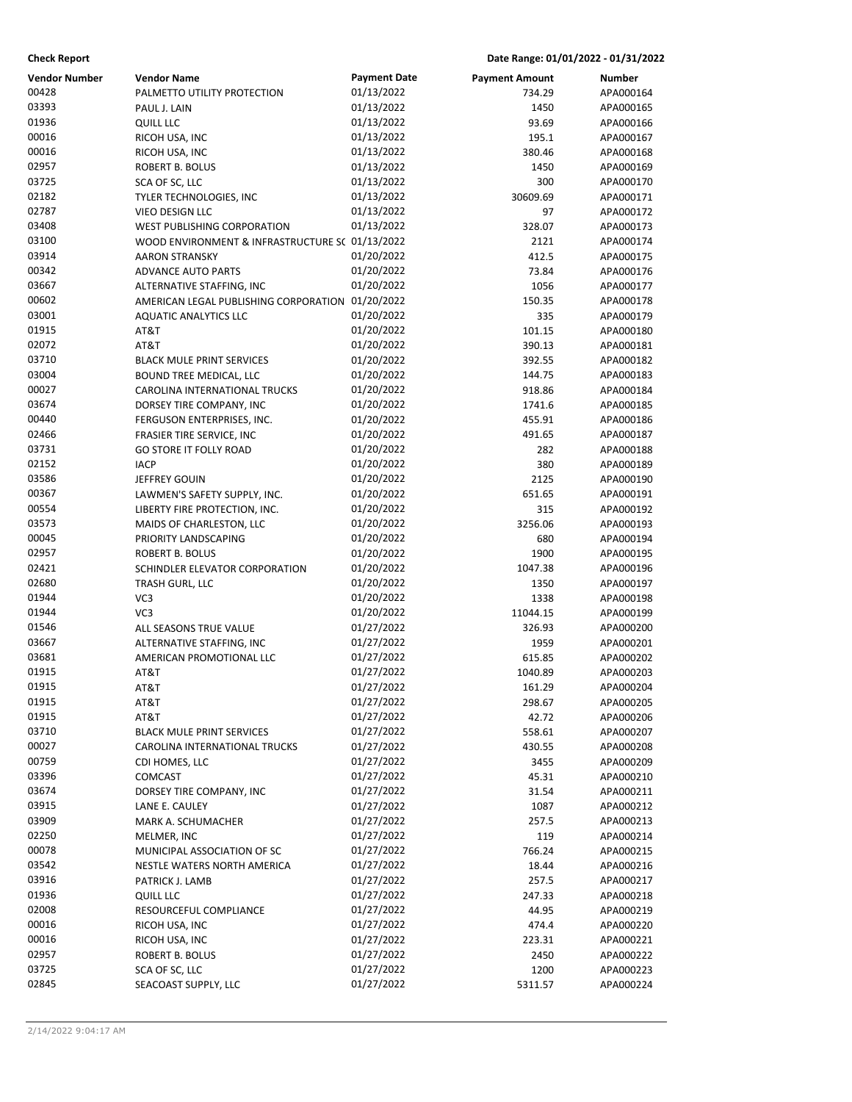| <b>Check Report</b>  |                                                  |                          | Date Range: 01/01/2022 - 01/31/2022 |                        |
|----------------------|--------------------------------------------------|--------------------------|-------------------------------------|------------------------|
| <b>Vendor Number</b> | <b>Vendor Name</b>                               | <b>Payment Date</b>      | <b>Payment Amount</b>               | Number                 |
| 00428                | PALMETTO UTILITY PROTECTION                      | 01/13/2022               | 734.29                              | APA000164              |
| 03393                | PAUL J. LAIN                                     | 01/13/2022               | 1450                                | APA000165              |
| 01936                | <b>QUILL LLC</b>                                 | 01/13/2022               | 93.69                               | APA000166              |
| 00016                | RICOH USA, INC                                   | 01/13/2022               | 195.1                               | APA000167              |
| 00016                | RICOH USA, INC                                   | 01/13/2022               | 380.46                              | APA000168              |
| 02957                | ROBERT B. BOLUS                                  | 01/13/2022               | 1450                                | APA000169              |
| 03725                | SCA OF SC, LLC                                   | 01/13/2022               | 300                                 | APA000170              |
| 02182                | TYLER TECHNOLOGIES, INC                          | 01/13/2022               | 30609.69                            | APA000171              |
| 02787                | VIEO DESIGN LLC                                  | 01/13/2022               | 97                                  | APA000172              |
| 03408                | <b>WEST PUBLISHING CORPORATION</b>               | 01/13/2022               | 328.07                              | APA000173              |
| 03100                | WOOD ENVIRONMENT & INFRASTRUCTURE S( 01/13/2022  |                          | 2121                                | APA000174              |
| 03914                | <b>AARON STRANSKY</b>                            | 01/20/2022               | 412.5                               | APA000175              |
| 00342                | <b>ADVANCE AUTO PARTS</b>                        | 01/20/2022               | 73.84                               | APA000176              |
| 03667                | ALTERNATIVE STAFFING, INC                        | 01/20/2022               | 1056                                | APA000177              |
| 00602                | AMERICAN LEGAL PUBLISHING CORPORATION 01/20/2022 |                          | 150.35                              | APA000178              |
| 03001                | <b>AQUATIC ANALYTICS LLC</b>                     | 01/20/2022               | 335                                 | APA000179              |
| 01915                | AT&T                                             | 01/20/2022               | 101.15                              | APA000180              |
| 02072                | AT&T                                             | 01/20/2022               | 390.13                              | APA000181              |
| 03710                | <b>BLACK MULE PRINT SERVICES</b>                 | 01/20/2022               | 392.55                              | APA000182              |
| 03004                | BOUND TREE MEDICAL, LLC                          | 01/20/2022               | 144.75                              | APA000183              |
| 00027                | CAROLINA INTERNATIONAL TRUCKS                    | 01/20/2022               | 918.86                              | APA000184              |
| 03674                | DORSEY TIRE COMPANY, INC                         | 01/20/2022               | 1741.6                              | APA000185              |
| 00440                | FERGUSON ENTERPRISES, INC.                       | 01/20/2022               | 455.91                              | APA000186              |
| 02466                | FRASIER TIRE SERVICE, INC                        | 01/20/2022               | 491.65                              | APA000187              |
| 03731                | <b>GO STORE IT FOLLY ROAD</b>                    | 01/20/2022               | 282                                 | APA000188              |
| 02152                | <b>IACP</b>                                      | 01/20/2022               | 380                                 | APA000189              |
| 03586                | JEFFREY GOUIN                                    | 01/20/2022               | 2125                                | APA000190              |
| 00367                | LAWMEN'S SAFETY SUPPLY, INC.                     | 01/20/2022               | 651.65                              | APA000191              |
| 00554                | LIBERTY FIRE PROTECTION, INC.                    | 01/20/2022               | 315                                 | APA000192              |
| 03573                | MAIDS OF CHARLESTON, LLC                         | 01/20/2022               | 3256.06                             | APA000193              |
| 00045                | PRIORITY LANDSCAPING                             | 01/20/2022               | 680                                 | APA000194              |
| 02957                | ROBERT B. BOLUS                                  | 01/20/2022               | 1900                                | APA000195              |
| 02421                | SCHINDLER ELEVATOR CORPORATION                   | 01/20/2022               | 1047.38                             | APA000196              |
| 02680<br>01944       | TRASH GURL, LLC                                  | 01/20/2022<br>01/20/2022 | 1350                                | APA000197              |
| 01944                | VC3<br>VC3                                       | 01/20/2022               | 1338                                | APA000198              |
| 01546                | ALL SEASONS TRUE VALUE                           | 01/27/2022               | 11044.15<br>326.93                  | APA000199<br>APA000200 |
| 03667                | ALTERNATIVE STAFFING, INC                        | 01/27/2022               | 1959                                | APA000201              |
| 03681                | AMERICAN PROMOTIONAL LLC                         | 01/27/2022               | 615.85                              | APA000202              |
| 01915                | T&TA                                             | 01/27/2022               | 1040.89                             | APA000203              |
| 01915                | AT&T                                             | 01/27/2022               | 161.29                              | APA000204              |
| 01915                | AT&T                                             | 01/27/2022               | 298.67                              | APA000205              |
| 01915                | AT&T                                             | 01/27/2022               | 42.72                               | APA000206              |
| 03710                | <b>BLACK MULE PRINT SERVICES</b>                 | 01/27/2022               | 558.61                              | APA000207              |
| 00027                | CAROLINA INTERNATIONAL TRUCKS                    | 01/27/2022               | 430.55                              | APA000208              |
| 00759                | CDI HOMES, LLC                                   | 01/27/2022               | 3455                                | APA000209              |
| 03396                | COMCAST                                          | 01/27/2022               | 45.31                               | APA000210              |
| 03674                | DORSEY TIRE COMPANY, INC                         | 01/27/2022               | 31.54                               | APA000211              |
| 03915                | LANE E. CAULEY                                   | 01/27/2022               | 1087                                | APA000212              |
| 03909                | MARK A. SCHUMACHER                               | 01/27/2022               | 257.5                               | APA000213              |
| 02250                | MELMER, INC                                      | 01/27/2022               | 119                                 | APA000214              |
| 00078                | MUNICIPAL ASSOCIATION OF SC                      | 01/27/2022               | 766.24                              | APA000215              |
| 03542                | NESTLE WATERS NORTH AMERICA                      | 01/27/2022               | 18.44                               | APA000216              |
| 03916                | PATRICK J. LAMB                                  | 01/27/2022               | 257.5                               | APA000217              |
| 01936                | QUILL LLC                                        | 01/27/2022               | 247.33                              | APA000218              |
| 02008                | RESOURCEFUL COMPLIANCE                           | 01/27/2022               | 44.95                               | APA000219              |
| 00016                | RICOH USA, INC                                   | 01/27/2022               | 474.4                               | APA000220              |
| 00016                | RICOH USA, INC                                   | 01/27/2022               | 223.31                              | APA000221              |
| 02957                | ROBERT B. BOLUS                                  | 01/27/2022               | 2450                                | APA000222              |
| 03725                | SCA OF SC, LLC                                   | 01/27/2022               | 1200                                | APA000223              |
| 02845                | SEACOAST SUPPLY, LLC                             | 01/27/2022               | 5311.57                             | APA000224              |